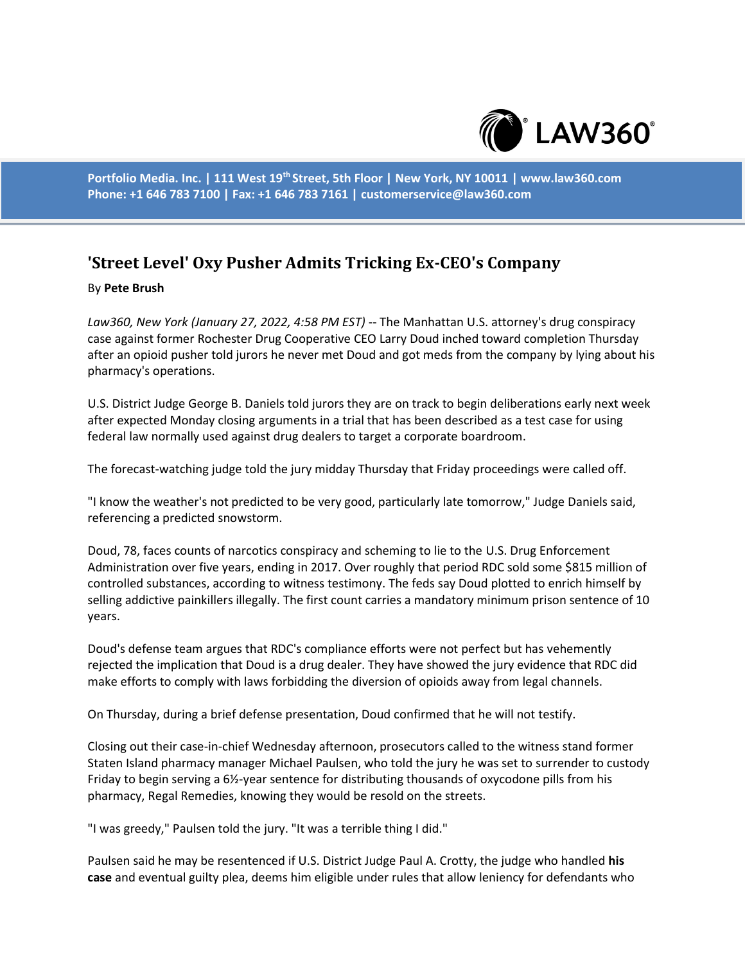

**Portfolio Media. Inc. | 111 West 19th Street, 5th Floor | New York, NY 10011 | www.law360.com Phone: +1 646 783 7100 | Fax: +1 646 783 7161 | customerservice@law360.com**

## **'Street Level' Oxy Pusher Admits Tricking Ex-CEO's Company**

## By **Pete Brush**

*Law360, New York (January 27, 2022, 4:58 PM EST)* -- The Manhattan U.S. attorney's drug conspiracy case against former Rochester Drug Cooperative CEO Larry Doud inched toward completion Thursday after an opioid pusher told jurors he never met Doud and got meds from the company by lying about his pharmacy's operations.

U.S. District Judge George B. Daniels told jurors they are on track to begin deliberations early next week after expected Monday closing arguments in a trial that has been described as a test case for using federal law normally used against drug dealers to target a corporate boardroom.

The forecast-watching judge told the jury midday Thursday that Friday proceedings were called off.

"I know the weather's not predicted to be very good, particularly late tomorrow," Judge Daniels said, referencing a predicted snowstorm.

Doud, 78, faces counts of narcotics conspiracy and scheming to lie to the U.S. Drug Enforcement Administration over five years, ending in 2017. Over roughly that period RDC sold some \$815 million of controlled substances, according to witness testimony. The feds say Doud plotted to enrich himself by selling addictive painkillers illegally. The first count carries a mandatory minimum prison sentence of 10 years.

Doud's defense team argues that RDC's compliance efforts were not perfect but has vehemently rejected the implication that Doud is a drug dealer. They have showed the jury evidence that RDC did make efforts to comply with laws forbidding the diversion of opioids away from legal channels.

On Thursday, during a brief defense presentation, Doud confirmed that he will not testify.

Closing out their case-in-chief Wednesday afternoon, prosecutors called to the witness stand former Staten Island pharmacy manager Michael Paulsen, who told the jury he was set to surrender to custody Friday to begin serving a 6½-year sentence for distributing thousands of oxycodone pills from his pharmacy, Regal Remedies, knowing they would be resold on the streets.

"I was greedy," Paulsen told the jury. "It was a terrible thing I did."

Paulsen said he may be resentenced if U.S. District Judge Paul A. Crotty, the judge who handled **his case** and eventual guilty plea, deems him eligible under rules that allow leniency for defendants who